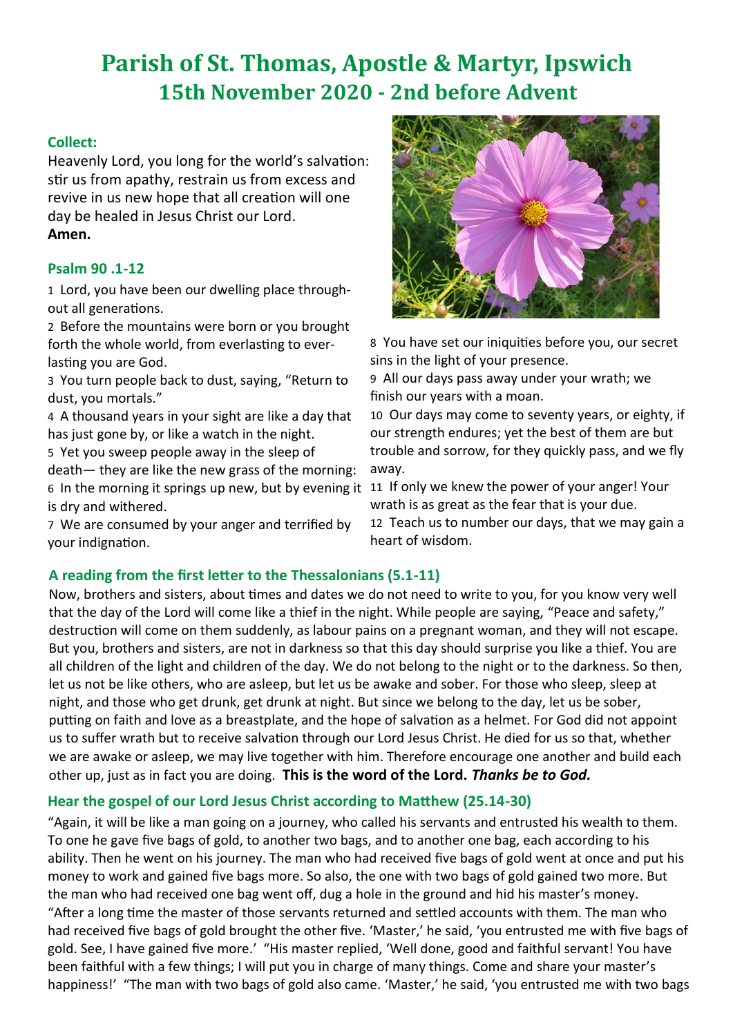# **Parish of St. Thomas, Apostle & Martyr, Ipswich 15th November 2020 - 2nd before Advent**

# **Collect:**

Heavenly Lord, you long for the world's salvation: stir us from apathy, restrain us from excess and revive in us new hope that all creation will one day be healed in Jesus Christ our Lord. **Amen.**

# **Psalm 90 .1-12**

1 Lord, you have been our dwelling place throughout all generations.

2 Before the mountains were born or you brought forth the whole world, from everlasting to everlasting you are God.

3 You turn people back to dust, saying, "Return to dust, you mortals."

4 A thousand years in your sight are like a day that has just gone by, or like a watch in the night.

5 Yet you sweep people away in the sleep of death— they are like the new grass of the morning:

6 In the morning it springs up new, but by evening it 11 If only we knew the power of your anger! Your is dry and withered.

7 We are consumed by your anger and terrified by your indignation.



8 You have set our iniquities before you, our secret sins in the light of your presence.

9 All our days pass away under your wrath; we finish our years with a moan.

10 Our days may come to seventy years, or eighty, if our strength endures; yet the best of them are but trouble and sorrow, for they quickly pass, and we fly away.

wrath is as great as the fear that is your due.

12 Teach us to number our days, that we may gain a heart of wisdom.

## **A reading from the first letter to the Thessalonians (5.1-11)**

Now, brothers and sisters, about times and dates we do not need to write to you, for you know very well that the day of the Lord will come like a thief in the night. While people are saying, "Peace and safety," destruction will come on them suddenly, as labour pains on a pregnant woman, and they will not escape. But you, brothers and sisters, are not in darkness so that this day should surprise you like a thief. You are all children of the light and children of the day. We do not belong to the night or to the darkness. So then, let us not be like others, who are asleep, but let us be awake and sober. For those who sleep, sleep at night, and those who get drunk, get drunk at night. But since we belong to the day, let us be sober, putting on faith and love as a breastplate, and the hope of salvation as a helmet. For God did not appoint us to suffer wrath but to receive salvation through our Lord Jesus Christ. He died for us so that, whether we are awake or asleep, we may live together with him. Therefore encourage one another and build each other up, just as in fact you are doing. **This is the word of the Lord.** *Thanks be to God.*

## **Hear the gospel of our Lord Jesus Christ according to Matthew (25.14-30)**

"Again, it will be like a man going on a journey, who called his servants and entrusted his wealth to them. To one he gave five bags of gold, to another two bags, and to another one bag, each according to his ability. Then he went on his journey. The man who had received five bags of gold went at once and put his money to work and gained five bags more. So also, the one with two bags of gold gained two more. But the man who had received one bag went off, dug a hole in the ground and hid his master's money. "After a long time the master of those servants returned and settled accounts with them. The man who had received five bags of gold brought the other five. 'Master,' he said, 'you entrusted me with five bags of gold. See, I have gained five more.' "His master replied, 'Well done, good and faithful servant! You have been faithful with a few things; I will put you in charge of many things. Come and share your master's happiness!' "The man with two bags of gold also came. 'Master,' he said, 'you entrusted me with two bags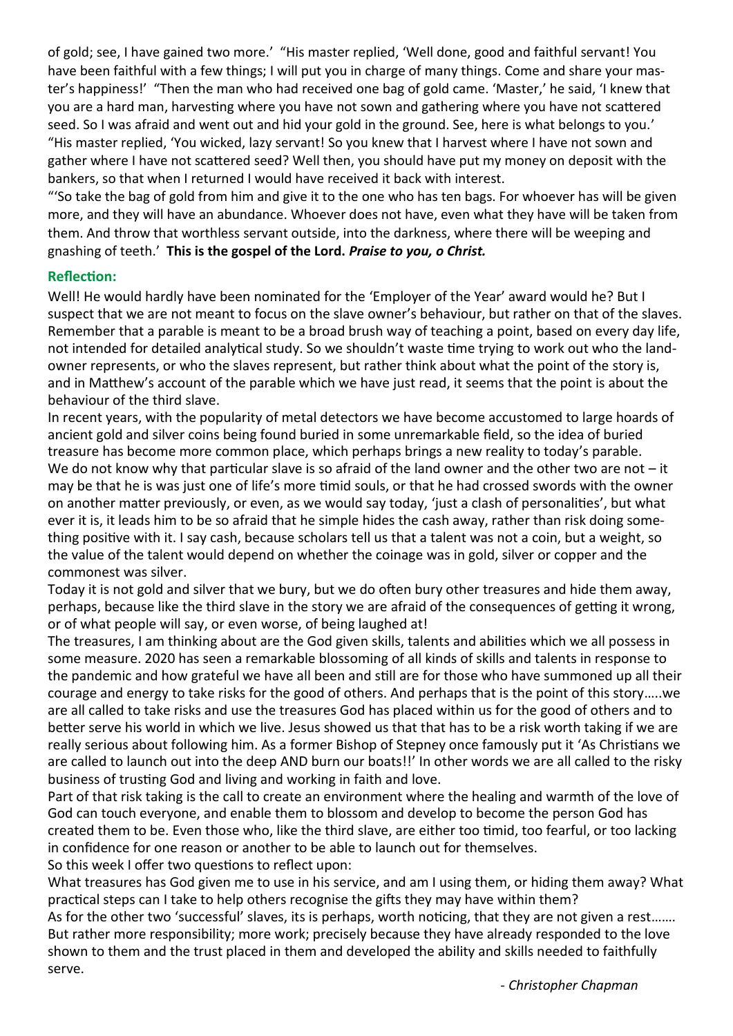of gold; see, I have gained two more.' "His master replied, 'Well done, good and faithful servant! You have been faithful with a few things; I will put you in charge of many things. Come and share your master's happiness!' "Then the man who had received one bag of gold came. 'Master,' he said, 'I knew that you are a hard man, harvesting where you have not sown and gathering where you have not scattered seed. So I was afraid and went out and hid your gold in the ground. See, here is what belongs to you.' "His master replied, 'You wicked, lazy servant! So you knew that I harvest where I have not sown and gather where I have not scattered seed? Well then, you should have put my money on deposit with the bankers, so that when I returned I would have received it back with interest.

"'So take the bag of gold from him and give it to the one who has ten bags. For whoever has will be given more, and they will have an abundance. Whoever does not have, even what they have will be taken from them. And throw that worthless servant outside, into the darkness, where there will be weeping and gnashing of teeth.' **This is the gospel of the Lord.** *Praise to you, o Christ.*

## **Reflection:**

Well! He would hardly have been nominated for the 'Employer of the Year' award would he? But I suspect that we are not meant to focus on the slave owner's behaviour, but rather on that of the slaves. Remember that a parable is meant to be a broad brush way of teaching a point, based on every day life, not intended for detailed analytical study. So we shouldn't waste time trying to work out who the landowner represents, or who the slaves represent, but rather think about what the point of the story is, and in Matthew's account of the parable which we have just read, it seems that the point is about the behaviour of the third slave.

In recent years, with the popularity of metal detectors we have become accustomed to large hoards of ancient gold and silver coins being found buried in some unremarkable field, so the idea of buried treasure has become more common place, which perhaps brings a new reality to today's parable. We do not know why that particular slave is so afraid of the land owner and the other two are not  $-$  it may be that he is was just one of life's more timid souls, or that he had crossed swords with the owner on another matter previously, or even, as we would say today, 'just a clash of personalities', but what ever it is, it leads him to be so afraid that he simple hides the cash away, rather than risk doing something positive with it. I say cash, because scholars tell us that a talent was not a coin, but a weight, so the value of the talent would depend on whether the coinage was in gold, silver or copper and the commonest was silver.

Today it is not gold and silver that we bury, but we do often bury other treasures and hide them away, perhaps, because like the third slave in the story we are afraid of the consequences of getting it wrong, or of what people will say, or even worse, of being laughed at!

The treasures, I am thinking about are the God given skills, talents and abilities which we all possess in some measure. 2020 has seen a remarkable blossoming of all kinds of skills and talents in response to the pandemic and how grateful we have all been and still are for those who have summoned up all their courage and energy to take risks for the good of others. And perhaps that is the point of this story…..we are all called to take risks and use the treasures God has placed within us for the good of others and to better serve his world in which we live. Jesus showed us that that has to be a risk worth taking if we are really serious about following him. As a former Bishop of Stepney once famously put it 'As Christians we are called to launch out into the deep AND burn our boats!!' In other words we are all called to the risky business of trusting God and living and working in faith and love.

Part of that risk taking is the call to create an environment where the healing and warmth of the love of God can touch everyone, and enable them to blossom and develop to become the person God has created them to be. Even those who, like the third slave, are either too timid, too fearful, or too lacking in confidence for one reason or another to be able to launch out for themselves. So this week I offer two questions to reflect upon:

What treasures has God given me to use in his service, and am I using them, or hiding them away? What practical steps can I take to help others recognise the gifts they may have within them?

As for the other two 'successful' slaves, its is perhaps, worth noticing, that they are not given a rest……. But rather more responsibility; more work; precisely because they have already responded to the love shown to them and the trust placed in them and developed the ability and skills needed to faithfully serve.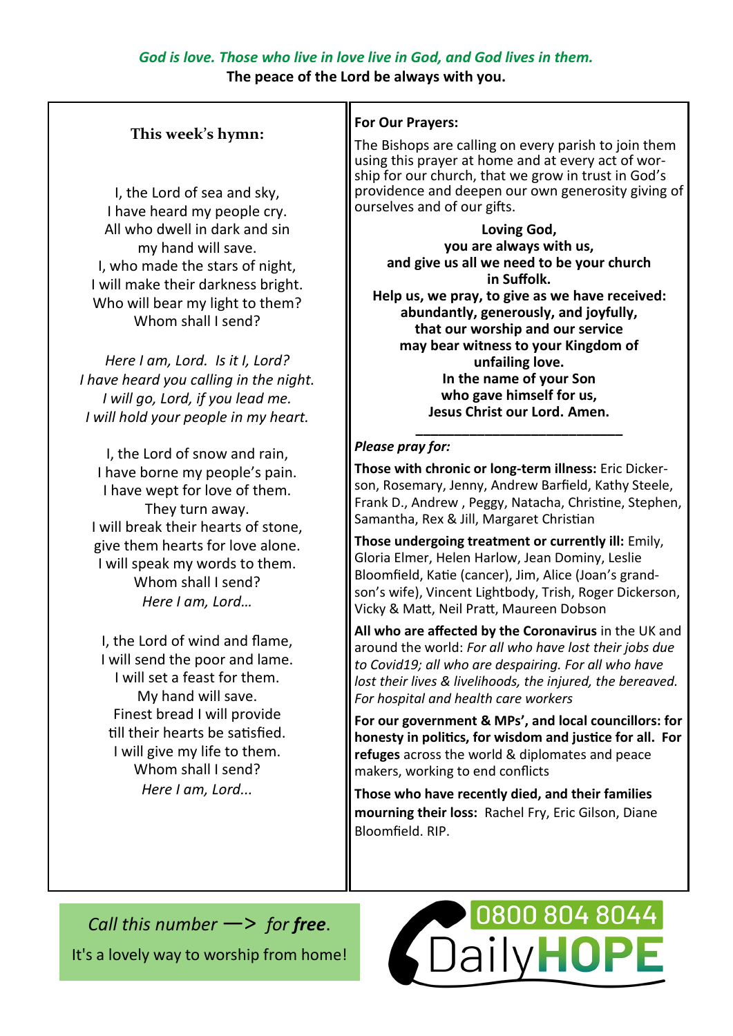# **This week's hymn:**

I, the Lord of sea and sky, I have heard my people cry. All who dwell in dark and sin my hand will save. I, who made the stars of night, I will make their darkness bright. Who will bear my light to them? Whom shall I send?

*Here I am, Lord. Is it I, Lord? I have heard you calling in the night. I will go, Lord, if you lead me. I will hold your people in my heart.*

I, the Lord of snow and rain, I have borne my people's pain. I have wept for love of them. They turn away. I will break their hearts of stone, give them hearts for love alone. I will speak my words to them. Whom shall I send? *Here I am, Lord…*

I, the Lord of wind and flame, I will send the poor and lame. I will set a feast for them. My hand will save. Finest bread I will provide till their hearts be satisfied. I will give my life to them. Whom shall I send? *Here I am, Lord...*

## **For Our Prayers:**

The Bishops are calling on every parish to join them using this prayer at home and at every act of worship for our church, that we grow in trust in God's providence and deepen our own generosity giving of ourselves and of our gifts.

**Loving God, you are always with us, and give us all we need to be your church in Suffolk. Help us, we pray, to give as we have received: abundantly, generously, and joyfully, that our worship and our service may bear witness to your Kingdom of unfailing love. In the name of your Son who gave himself for us, Jesus Christ our Lord. Amen.**

#### **\_\_\_\_\_\_\_\_\_\_\_\_\_\_\_\_\_\_\_\_\_\_\_\_\_\_\_** *Please pray for:*

**Those with chronic or long-term illness:** Eric Dickerson, Rosemary, Jenny, Andrew Barfield, Kathy Steele, Frank D., Andrew , Peggy, Natacha, Christine, Stephen, Samantha, Rex & Jill, Margaret Christian

**Those undergoing treatment or currently ill:** Emily, Gloria Elmer, Helen Harlow, Jean Dominy, Leslie Bloomfield, Katie (cancer), Jim, Alice (Joan's grandson's wife), Vincent Lightbody, Trish, Roger Dickerson, Vicky & Matt, Neil Pratt, Maureen Dobson

**All who are affected by the Coronavirus** in the UK and around the world: *For all who have lost their jobs due to Covid19; all who are despairing. For all who have lost their lives & livelihoods, the injured, the bereaved. For hospital and health care workers*

**For our government & MPs', and local councillors: for honesty in politics, for wisdom and justice for all. For refuges** across the world & diplomates and peace makers, working to end conflicts

**Those who have recently died, and their families mourning their loss:** Rachel Fry, Eric Gilson, Diane Bloomfield. RIP.

*Call this number* —> *for free*. It's a lovely way to worship from home!